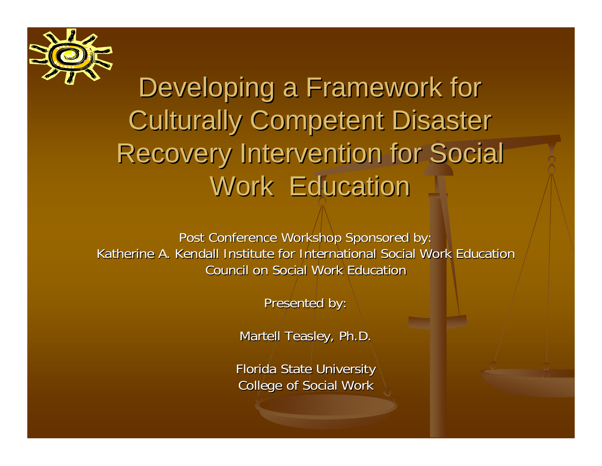

### Developing a Framework for **Culturally Competent Disaster** Recovery Intervention for Social Work Education

Post Conference Workshop Sponsored by: Katherine A. Kendall Institute for International Social Work Education Council on Social Work Education

Presented by:

Martell Teasley, Ph.D.

Florida State University College of Social Work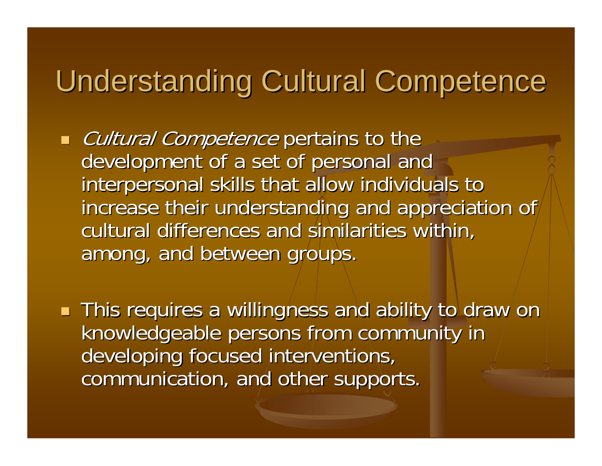### Understanding Cultural Competence

a l Cultural Competence pertains to the development of a set of personal and interpersonal skills that allow individuals to increase their understanding and appreciation of cultural differences and similarities within, among, and between groups.

a l **This requires a willingness and ability to draw on** knowledgeable persons from community in developing focused interventions, communication, and other supports.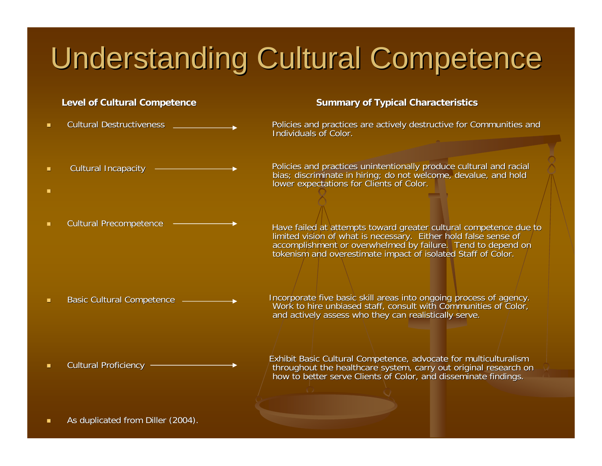## **Understanding Cultural Competence**

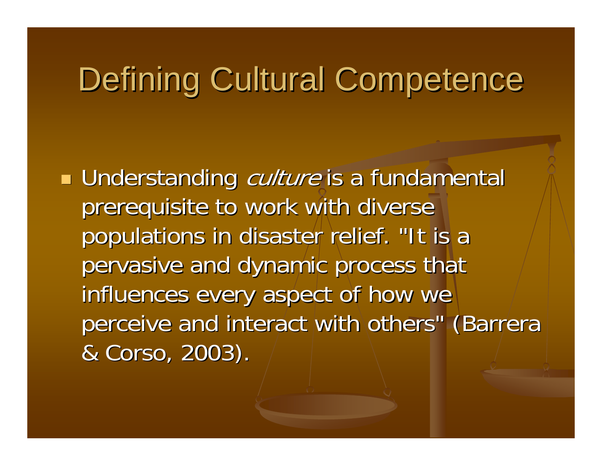## Defining Cultural Competence

**Service Service Understanding** *culture* is a fundamental prerequisite to work with diverse populations in disaster relief. "It is a pervasive and dynamic process that influences every aspect of how we perceive and interact with others" (Barrera & Corso, 2003).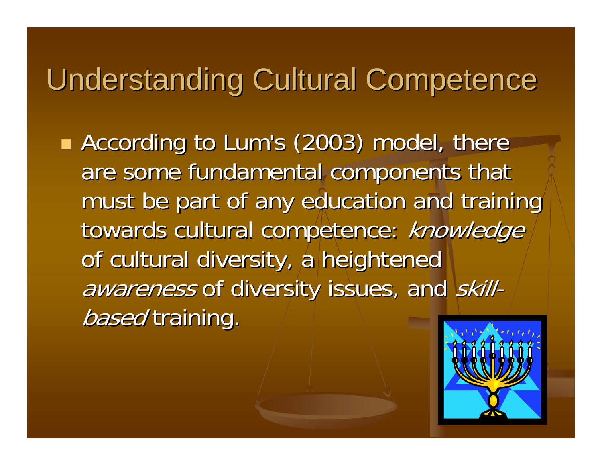### **Understanding Cultural Competence**

**According to Lum's (2003) model, there** are some fundamental components that must be part of any education and training towards cultural competence: knowledge of cultural diversity, a heightened awareness of diversity issues, and skill*based* training.

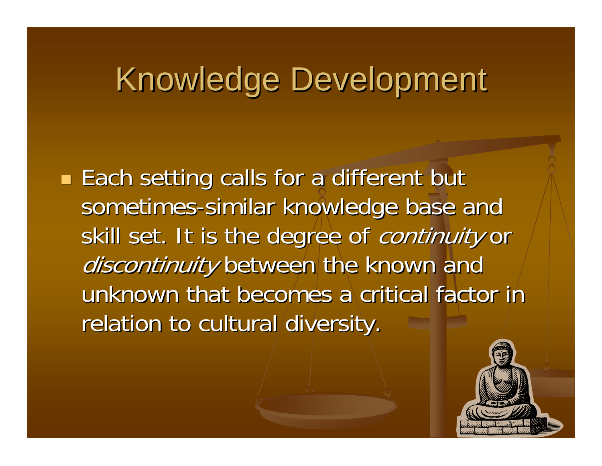## Knowledge Development Knowledge Development

**Service Service Each setting calls for a different but** sometimes-similar knowledge base and skill set. It is the degree of continuity or discontinuity between the known and unknown that becomes a critical factor in relation to cultural diversity.

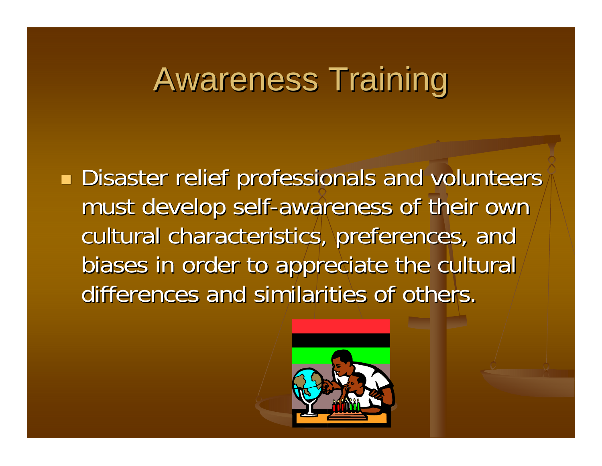## **Awareness Training**

**Service Service**  $\blacksquare$  Disaster relief professionals and volunteers must develop self-awareness of their own cultural characteristics, preferences, and biases in order to appreciate the cultural differences and similarities of others.

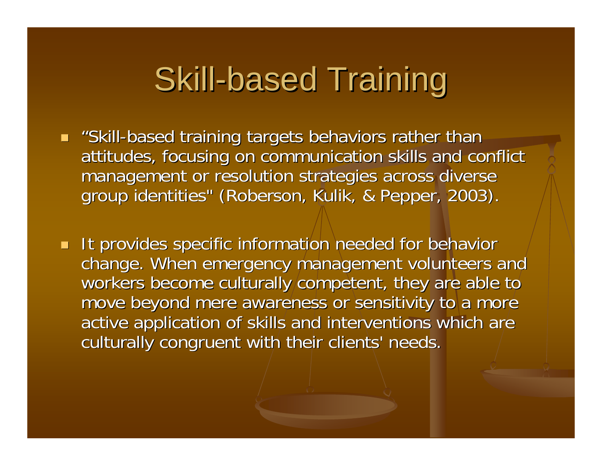## Skill-based Training

 $\blacksquare$  "Skill-based training targets behaviors rather than attitudes, focusing on communication skills and conflict management or resolution strategies across diverse group identities" (Roberson, Kulik, & Pepper, 2003).

**It provides specific information needed for behavior** change. When emergency management volunteers and change. When emergency management volunteers and workers become culturally competent, they are able to move beyond mere awareness or sensitivity to a more active application of skills and interventions which are culturally congruent with their clients' needs.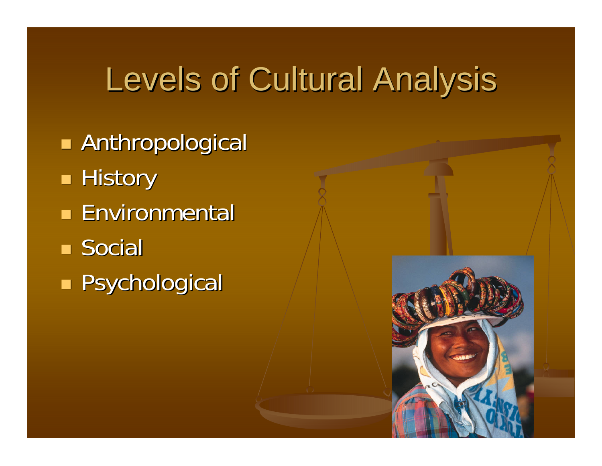# Levels of Cultural Analysis

**Anthropological Service Service**  $\blacksquare$  History **Environmental** ■ Social **Service Service Research Psychological** 

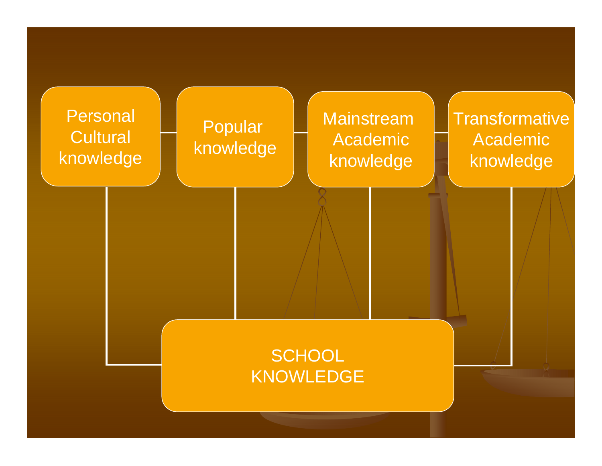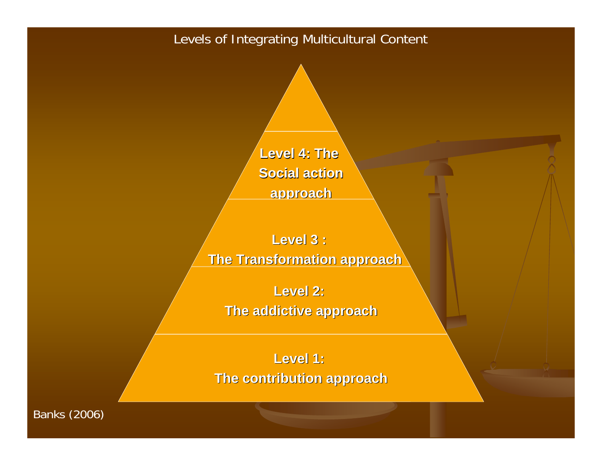### Levels of Integrating Multicultural Content

Level 4: The **Social action Social action approach approach**

**Level 3 : Level 3 : The Transformation approach** 

**Level 2: Level 2:** 

**The addictive approach The addictive approach**

**Level 1: Level 1: The contribution approach** 

Banks (2006)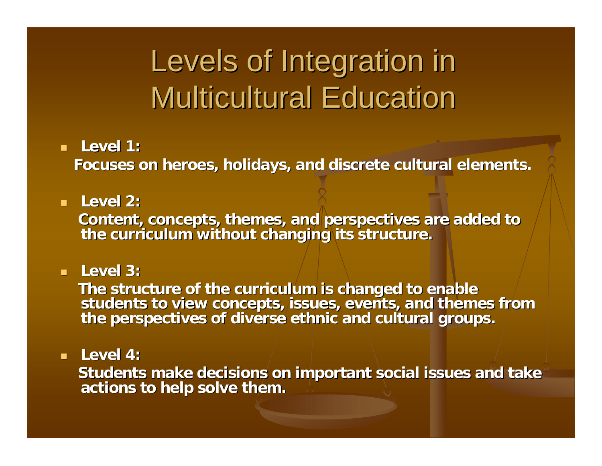## Levels of Integration in **Multicultural Education**

#### **Level 1: Level 1:**

**Focuses on heroes, holidays, and discrete cultural elements. Focuses on heroes, holidays, and discrete cultural elements.**

### **Level 2: Level 2:**

Content, concepts, themes, and perspectives are added to the curriculum without changing its structure.

### **Level 3: Level 3:**

The structure of the curriculum is changed to enable<br>students to view concepts, issues, events, and themes from<br>the perspectives of diverse ethnic and cultural groups.

#### **Level 4: Level 4:**

Students make decisions on important social issues and take actions to help solve them.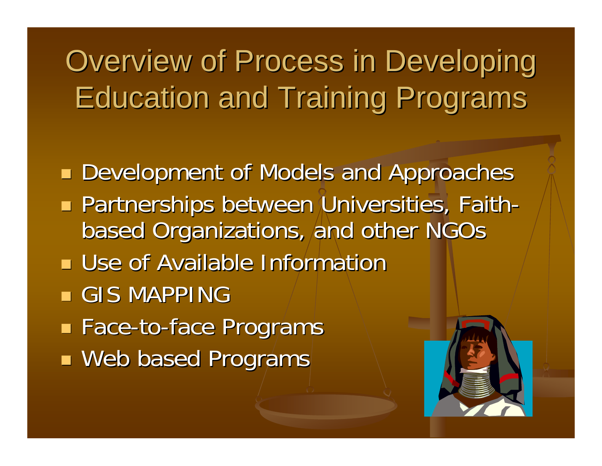# Overview of Process in Developing **Education and Training Programs**

**Development of Models and Approaches Rartnerships between Universities, Faith Partnerships between Universities, Faith** based Organizations, and other NGOs based Organizations, and other NGOs **Use of Available Information**  $\blacksquare$  GIS MAPPING ■ Face-to-face Programs **Neb based Programs**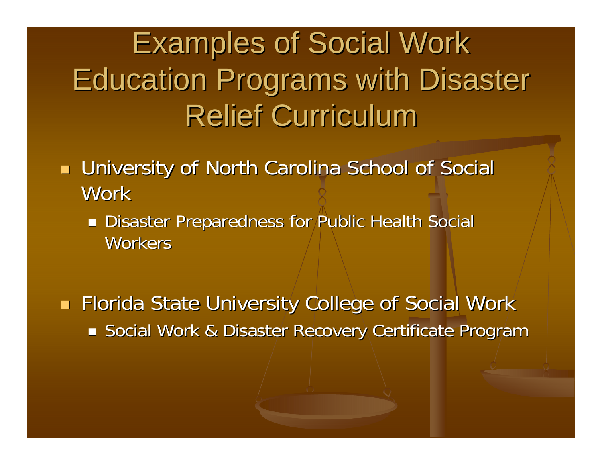# **Examples of Social Work Education Programs with Disaster Relief Curriculum**

- a l **University of North Carolina School of Social Work** 
	- **Disaster Preparedness for Public Health Social** Workers

**Florida State University College of Social Work** ■ Social Work & Disaster Recovery Certificate Program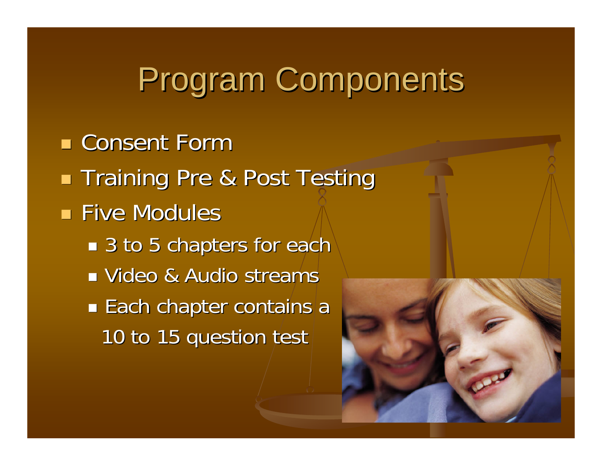# Program Components

**E** Consent Form **Service Service Training Pre & Post Testing Five Modules** ■ 3 to 5 chapters for each **Nideo & Audio streams**  $\mathbb{R}^n$  $\blacksquare$  Each chapter contains a 10 to 15 question test

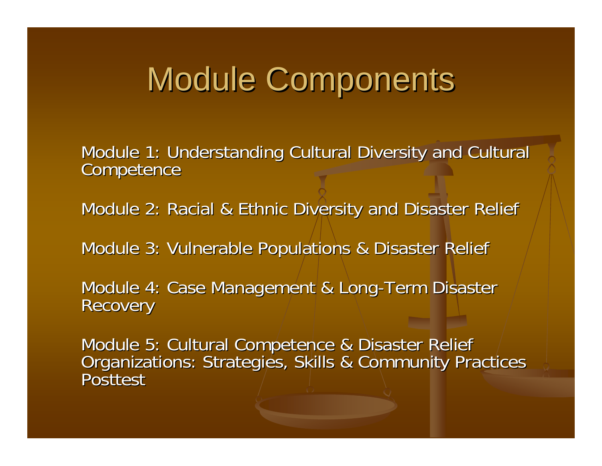## **Module Components**

Module 1: Understanding Cultural Diversity and Cultural Competence

Module 2: Racial & Ethnic Diversity and Disaster Relief

Module 3: Vulnerable Populations & Disaster Relief

Module 4: Case Management & Long-Term Disaster **Recovery** 

Module 5: Cultural Competence & Disaster Relief<br>Organizations: Strategies, Skills & Community Practices<br>Posttest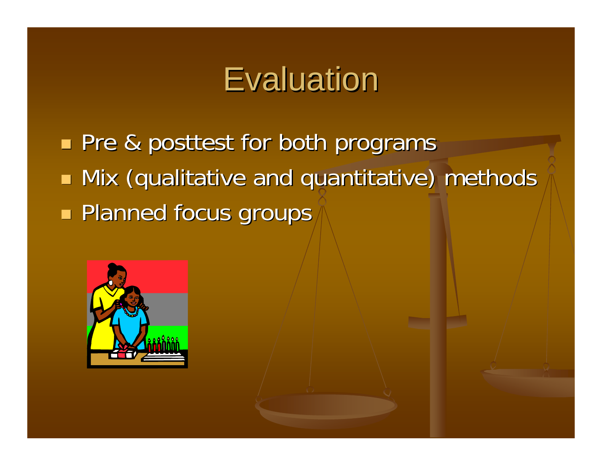## **Evaluation**

**Pre & posttest for both programs Service Service**  $\blacksquare$  Mix (qualitative and quantitative) methods **Renamed focus groups**